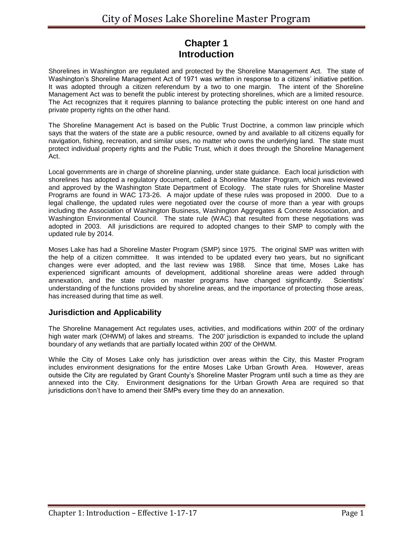# **Chapter 1 Introduction**

Shorelines in Washington are regulated and protected by the Shoreline Management Act. The state of Washington's Shoreline Management Act of 1971 was written in response to a citizens' initiative petition. It was adopted through a citizen referendum by a two to one margin. The intent of the Shoreline Management Act was to benefit the public interest by protecting shorelines, which are a limited resource. The Act recognizes that it requires planning to balance protecting the public interest on one hand and private property rights on the other hand.

The Shoreline Management Act is based on the Public Trust Doctrine, a common law principle which says that the waters of the state are a public resource, owned by and available to all citizens equally for navigation, fishing, recreation, and similar uses, no matter who owns the underlying land. The state must protect individual property rights and the Public Trust, which it does through the Shoreline Management Act.

Local governments are in charge of shoreline planning, under state guidance. Each local jurisdiction with shorelines has adopted a regulatory document, called a Shoreline Master Program, which was reviewed and approved by the Washington State Department of Ecology. The state rules for Shoreline Master Programs are found in WAC 173-26. A major update of these rules was proposed in 2000. Due to a legal challenge, the updated rules were negotiated over the course of more than a year with groups including the Association of Washington Business, Washington Aggregates & Concrete Association, and Washington Environmental Council. The state rule (WAC) that resulted from these negotiations was adopted in 2003. All jurisdictions are required to adopted changes to their SMP to comply with the updated rule by 2014.

Moses Lake has had a Shoreline Master Program (SMP) since 1975. The original SMP was written with the help of a citizen committee. It was intended to be updated every two years, but no significant changes were ever adopted, and the last review was 1988. Since that time, Moses Lake has experienced significant amounts of development, additional shoreline areas were added through annexation, and the state rules on master programs have changed significantly. Scientists' understanding of the functions provided by shoreline areas, and the importance of protecting those areas, has increased during that time as well.

#### **Jurisdiction and Applicability**

The Shoreline Management Act regulates uses, activities, and modifications within 200' of the ordinary high water mark (OHWM) of lakes and streams. The 200' jurisdiction is expanded to include the upland boundary of any wetlands that are partially located within 200' of the OHWM.

While the City of Moses Lake only has jurisdiction over areas within the City, this Master Program includes environment designations for the entire Moses Lake Urban Growth Area. However, areas outside the City are regulated by Grant County's Shoreline Master Program until such a time as they are annexed into the City. Environment designations for the Urban Growth Area are required so that jurisdictions don't have to amend their SMPs every time they do an annexation.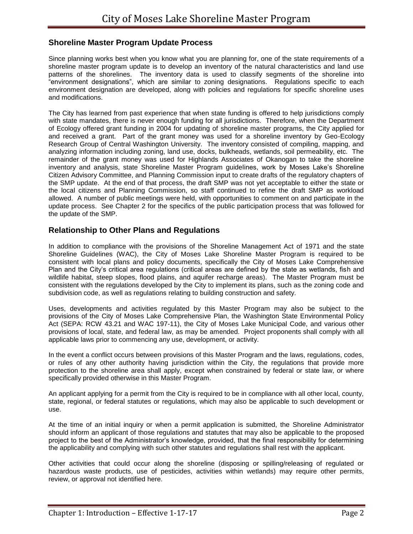#### **Shoreline Master Program Update Process**

Since planning works best when you know what you are planning for, one of the state requirements of a shoreline master program update is to develop an inventory of the natural characteristics and land use patterns of the shorelines. The inventory data is used to classify segments of the shoreline into "environment designations", which are similar to zoning designations. Regulations specific to each environment designation are developed, along with policies and regulations for specific shoreline uses and modifications.

The City has learned from past experience that when state funding is offered to help jurisdictions comply with state mandates, there is never enough funding for all jurisdictions. Therefore, when the Department of Ecology offered grant funding in 2004 for updating of shoreline master programs, the City applied for and received a grant. Part of the grant money was used for a shoreline inventory by Geo-Ecology Research Group of Central Washington University. The inventory consisted of compiling, mapping, and analyzing information including zoning, land use, docks, bulkheads, wetlands, soil permeability, etc. The remainder of the grant money was used for Highlands Associates of Okanogan to take the shoreline inventory and analysis, state Shoreline Master Program guidelines, work by Moses Lake's Shoreline Citizen Advisory Committee, and Planning Commission input to create drafts of the regulatory chapters of the SMP update. At the end of that process, the draft SMP was not yet acceptable to either the state or the local citizens and Planning Commission, so staff continued to refine the draft SMP as workload allowed. A number of public meetings were held, with opportunities to comment on and participate in the update process. See Chapter 2 for the specifics of the public participation process that was followed for the update of the SMP.

### **Relationship to Other Plans and Regulations**

In addition to compliance with the provisions of the Shoreline Management Act of 1971 and the state Shoreline Guidelines (WAC), the City of Moses Lake Shoreline Master Program is required to be consistent with local plans and policy documents, specifically the City of Moses Lake Comprehensive Plan and the City's critical area regulations (critical areas are defined by the state as wetlands, fish and wildlife habitat, steep slopes, flood plains, and aquifer recharge areas). The Master Program must be consistent with the regulations developed by the City to implement its plans, such as the zoning code and subdivision code, as well as regulations relating to building construction and safety.

Uses, developments and activities regulated by this Master Program may also be subject to the provisions of the City of Moses Lake Comprehensive Plan, the Washington State Environmental Policy Act (SEPA: RCW 43.21 and WAC 197-11), the City of Moses Lake Municipal Code, and various other provisions of local, state, and federal law, as may be amended. Project proponents shall comply with all applicable laws prior to commencing any use, development, or activity.

In the event a conflict occurs between provisions of this Master Program and the laws, regulations, codes, or rules of any other authority having jurisdiction within the City, the regulations that provide more protection to the shoreline area shall apply, except when constrained by federal or state law, or where specifically provided otherwise in this Master Program.

An applicant applying for a permit from the City is required to be in compliance with all other local, county, state, regional, or federal statutes or regulations, which may also be applicable to such development or use.

At the time of an initial inquiry or when a permit application is submitted, the Shoreline Administrator should inform an applicant of those regulations and statutes that may also be applicable to the proposed project to the best of the Administrator's knowledge, provided, that the final responsibility for determining the applicability and complying with such other statutes and regulations shall rest with the applicant.

Other activities that could occur along the shoreline (disposing or spilling/releasing of regulated or hazardous waste products, use of pesticides, activities within wetlands) may require other permits, review, or approval not identified here.